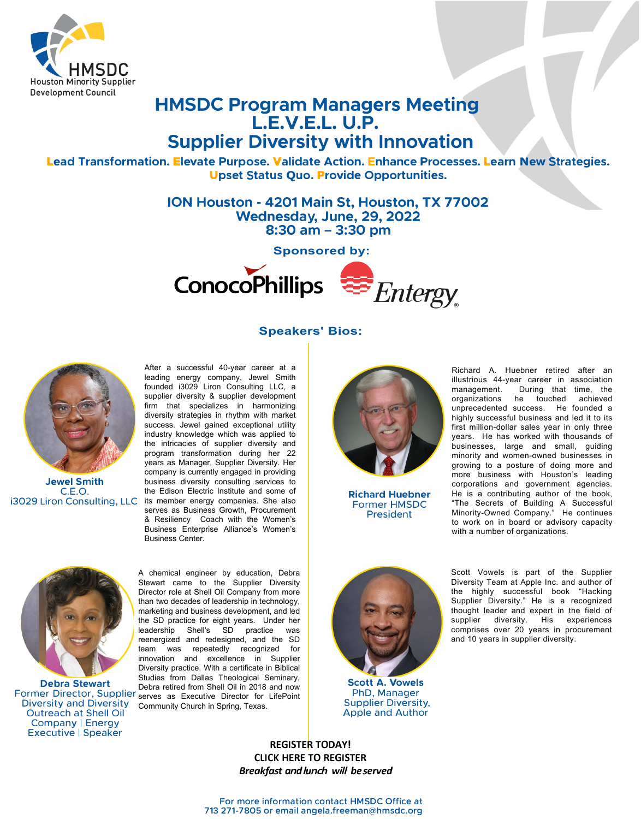

## **HMSDC Program Managers Meeting L.E.V.E.L. U.P. Supplier Diversity with Innovation**

Lead Transformation. Elevate Purpose. Validate Action. Enhance Processes. Learn **N**ew Strategies. Upset Status **Q**uo. Provide Opportunities.

> **ION Houston - 4201 Main St, Houston, TX 77002 Wednesday, June, 29, 2022 8:30 am - 3:30 pm**

> > **Sponsored by:**



## **Speakers' Bios:**



**Jewel Smith**  C.E.O. i3029 Liron Consulting, LLC

After a successful 40-year career at a leading energy company, Jewel Smith founded i3029 Liron Consulting LLC, a supplier diversity & supplier development firm that specializes in harmonizing diversity strategies in rhythm with market success. Jewel gained exceptional utility industry knowledge which was applied to the intricacies of supplier diversity and program transformation during her 22 years as Manager, Supplier Diversity. Her company is currently engaged in providing business diversity consulting services to the Edison Electric Institute and some of its member energy companies. She also serves as Business Growth, Procurement & Resiliency Coach with the Women's Business Enterprise Alliance's Women's Business Center.



**Richard Huebner Former HMSDC** President



**Debra Stewart**  Diversity and Diversity Outreach at Shell Oil Company I Energy Executive | Speaker

Former Director, Supplier serves as Executive Director for LifePoint A chemical engineer by education, Debra Stewart came to the Supplier Diversity Director role at Shell Oil Company from more than two decades of leadership in technology, marketing and business development, and led the SD practice for eight years. Under her leadership Shell's SD practice was reenergized and redesigned, and the SD team was repeatedly recognized for innovation and excellence in Supplier Diversity practice. With a certificate in Biblical Studies from Dallas Theological Seminary, Debra retired from Shell Oil in 2018 and now Community Church in Spring, Texas.



**Scott A. Vowels**  PhD, Manager Supplier Diversity, Apple and Author

Richard A. Huebner retired after an illustrious 44-year career in association<br>management. During that time, the management. During that time, the organizations he touched achieved unprecedented success. He founded a highly successful business and led it to its first million-dollar sales year in only three years. He has worked with thousands of businesses, large and small, guiding minority and women-owned businesses in growing to a posture of doing more and more business with Houston's leading corporations and government agencies. He is a contributing author of the book, "The Secrets of Building A Successful Minority-Owned Company." He continues to work on in board or advisory capacity with a number of organizations.

Scott Vowels is part of the Supplier Diversity Team at Apple Inc. and author of the highly successful book "Hacking Supplier Diversity." He is a recognized thought leader and expert in the field of supplier diversity. His experiences comprises over 20 years in procurement and 10 years in supplier diversity.

**REGISTER TODAY! [CLICK HERE TO REGISTER](https://form.jotform.com/221386966388170)** *Breakfa***s***t a***n***d***l***u***nch** *w***ill** *be***s***erved*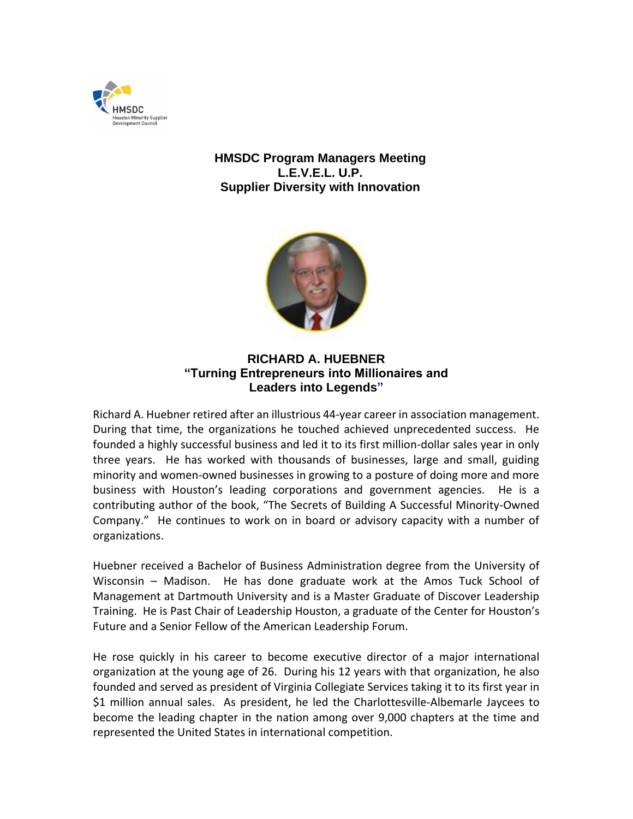

## **HMSDC Program Managers Meeting L.E.V.E.L. U.P. Supplier Diversity with Innovation**



## **RICHARD A. HUEBNER "Turning Entrepreneurs into Millionaires and Leaders into Legends"**

Richard A. Huebner retired after an illustrious 44-year career in association management. During that time, the organizations he touched achieved unprecedented success. He founded a highly successful business and led it to its first million-dollar sales year in only three years. He has worked with thousands of businesses, large and small, guiding minority and women-owned businesses in growing to a posture of doing more and more business with Houston's leading corporations and government agencies. He is a contributing author of the book, "The Secrets of Building A Successful Minority-Owned Company." He continues to work on in board or advisory capacity with a number of organizations.

Huebner received a Bachelor of Business Administration degree from the University of Wisconsin – Madison. He has done graduate work at the Amos Tuck School of Management at Dartmouth University and is a Master Graduate of Discover Leadership Training. He is Past Chair of Leadership Houston, a graduate of the Center for Houston's Future and a Senior Fellow of the American Leadership Forum.

He rose quickly in his career to become executive director of a major international organization at the young age of 26. During his 12 years with that organization, he also founded and served as president of Virginia Collegiate Services taking it to its first year in \$1 million annual sales. As president, he led the Charlottesville-Albemarle Jaycees to become the leading chapter in the nation among over 9,000 chapters at the time and represented the United States in international competition.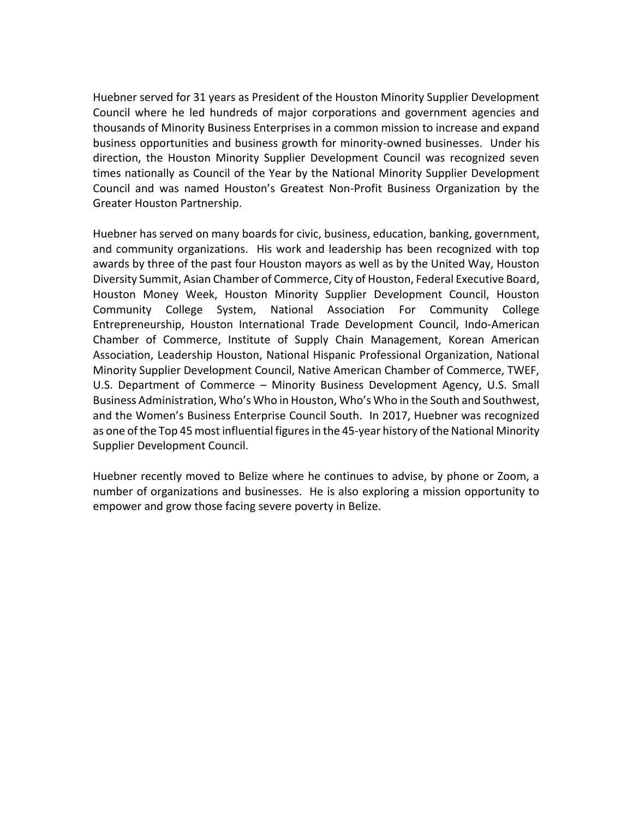Huebner served for 31 years as President of the Houston Minority Supplier Development Council where he led hundreds of major corporations and government agencies and thousands of Minority Business Enterprises in a common mission to increase and expand business opportunities and business growth for minority-owned businesses. Under his direction, the Houston Minority Supplier Development Council was recognized seven times nationally as Council of the Year by the National Minority Supplier Development Council and was named Houston's Greatest Non-Profit Business Organization by the Greater Houston Partnership.

Huebner has served on many boards for civic, business, education, banking, government, and community organizations. His work and leadership has been recognized with top awards by three of the past four Houston mayors as well as by the United Way, Houston Diversity Summit, Asian Chamber of Commerce, City of Houston, Federal Executive Board, Houston Money Week, Houston Minority Supplier Development Council, Houston Community College System, National Association For Community College Entrepreneurship, Houston International Trade Development Council, Indo-American Chamber of Commerce, Institute of Supply Chain Management, Korean American Association, Leadership Houston, National Hispanic Professional Organization, National Minority Supplier Development Council, Native American Chamber of Commerce, TWEF, U.S. Department of Commerce – Minority Business Development Agency, U.S. Small Business Administration, Who's Who in Houston, Who's Who in the South and Southwest, and the Women's Business Enterprise Council South. In 2017, Huebner was recognized as one of the Top 45 most influential figures in the 45-year history of the National Minority Supplier Development Council.

Huebner recently moved to Belize where he continues to advise, by phone or Zoom, a number of organizations and businesses. He is also exploring a mission opportunity to empower and grow those facing severe poverty in Belize.